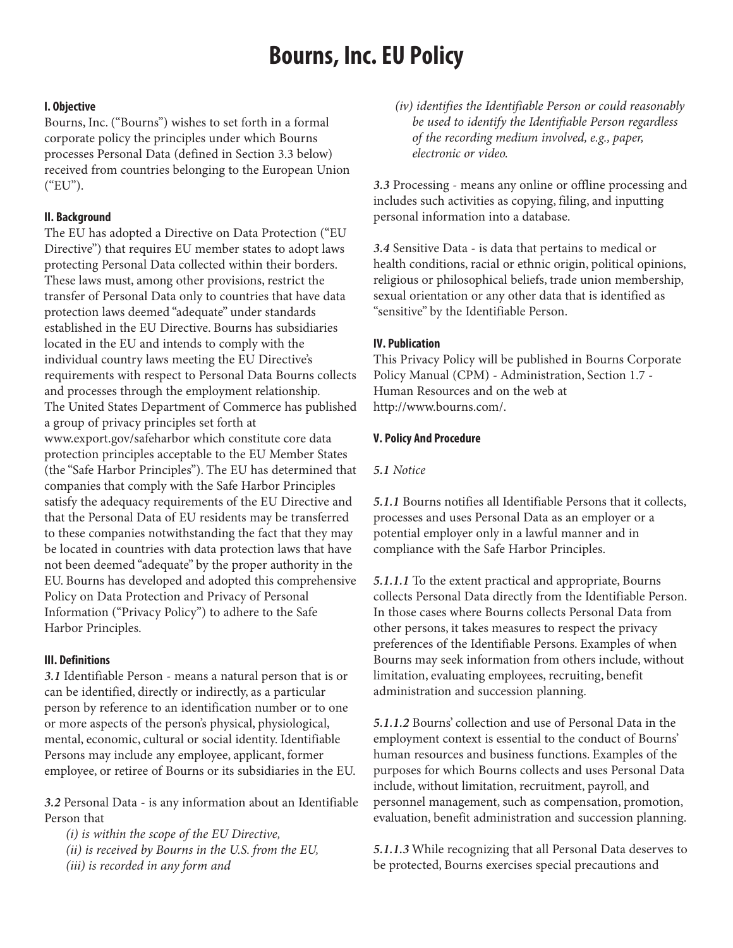# **Bourns, Inc. EU Policy**

#### **I. Objective**

Bourns, Inc. ("Bourns") wishes to set forth in a formal corporate policy the principles under which Bourns processes Personal Data (defined in Section 3.3 below) received from countries belonging to the European Union ("EU").

# **II. Background**

The EU has adopted a Directive on Data Protection ("EU Directive") that requires EU member states to adopt laws protecting Personal Data collected within their borders. These laws must, among other provisions, restrict the transfer of Personal Data only to countries that have data protection laws deemed "adequate" under standards established in the EU Directive. Bourns has subsidiaries located in the EU and intends to comply with the individual country laws meeting the EU Directive's requirements with respect to Personal Data Bourns collects and processes through the employment relationship. The United States Department of Commerce has published a group of privacy principles set forth at www.export.gov/safeharbor which constitute core data protection principles acceptable to the EU Member States (the "Safe Harbor Principles"). The EU has determined that companies that comply with the Safe Harbor Principles satisfy the adequacy requirements of the EU Directive and that the Personal Data of EU residents may be transferred to these companies notwithstanding the fact that they may be located in countries with data protection laws that have not been deemed "adequate" by the proper authority in the EU. Bourns has developed and adopted this comprehensive Policy on Data Protection and Privacy of Personal Information ("Privacy Policy") to adhere to the Safe Harbor Principles.

# **III. Definitions**

**3.1** Identifiable Person - means a natural person that is or can be identified, directly or indirectly, as a particular person by reference to an identification number or to one or more aspects of the person's physical, physiological, mental, economic, cultural or social identity. Identifiable Persons may include any employee, applicant, former employee, or retiree of Bourns or its subsidiaries in the EU.

**3.2** Personal Data - is any information about an Identifiable Person that

(i) is within the scope of the EU Directive, (ii) is received by Bourns in the U.S. from the EU, (iii) is recorded in any form and

(iv) identifies the Identifiable Person or could reasonably be used to identify the Identifiable Person regardless of the recording medium involved, e.g., paper, electronic or video.

**3.3** Processing - means any online or offline processing and includes such activities as copying, filing, and inputting personal information into a database.

**3.4** Sensitive Data - is data that pertains to medical or health conditions, racial or ethnic origin, political opinions, religious or philosophical beliefs, trade union membership, sexual orientation or any other data that is identified as "sensitive" by the Identifiable Person.

# **IV. Publication**

This Privacy Policy will be published in Bourns Corporate Policy Manual (CPM) - Administration, Section 1.7 - Human Resources and on the web at http://www.bourns.com/.

#### **V. Policy And Procedure**

#### **5.1** Notice

**5.1.1** Bourns notifies all Identifiable Persons that it collects, processes and uses Personal Data as an employer or a potential employer only in a lawful manner and in compliance with the Safe Harbor Principles.

**5.1.1.1** To the extent practical and appropriate, Bourns collects Personal Data directly from the Identifiable Person. In those cases where Bourns collects Personal Data from other persons, it takes measures to respect the privacy preferences of the Identifiable Persons. Examples of when Bourns may seek information from others include, without limitation, evaluating employees, recruiting, benefit administration and succession planning.

**5.1.1.2** Bourns' collection and use of Personal Data in the employment context is essential to the conduct of Bourns' human resources and business functions. Examples of the purposes for which Bourns collects and uses Personal Data include, without limitation, recruitment, payroll, and personnel management, such as compensation, promotion, evaluation, benefit administration and succession planning.

**5.1.1.3** While recognizing that all Personal Data deserves to be protected, Bourns exercises special precautions and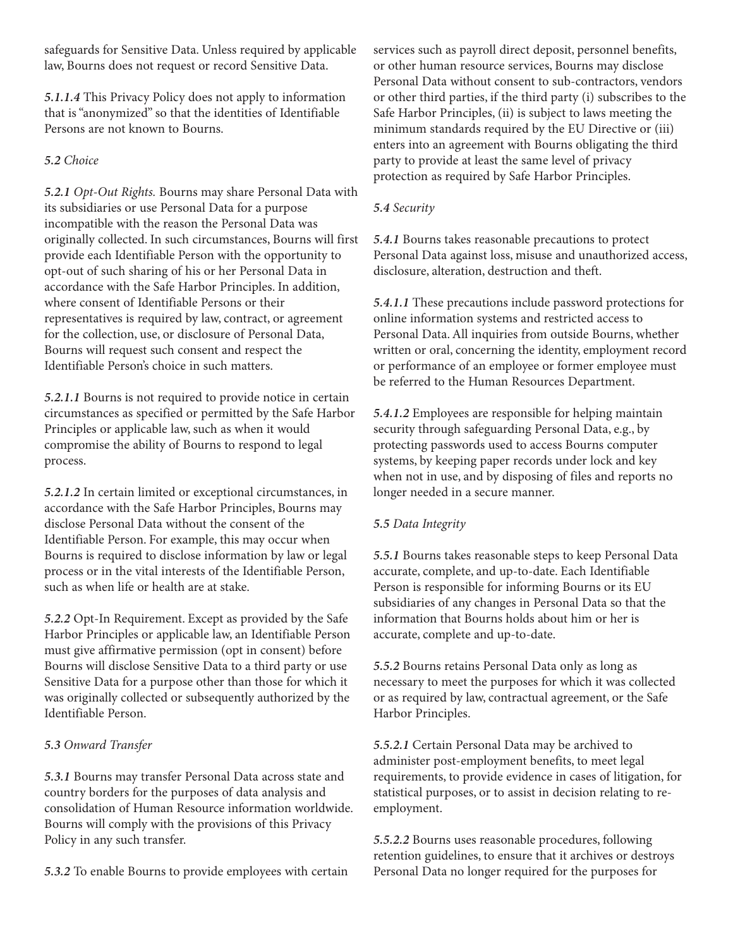safeguards for Sensitive Data. Unless required by applicable law, Bourns does not request or record Sensitive Data.

**5.1.1.4** This Privacy Policy does not apply to information that is "anonymized" so that the identities of Identifiable Persons are not known to Bourns.

# **5.2** Choice

**5.2.1** Opt-Out Rights. Bourns may share Personal Data with its subsidiaries or use Personal Data for a purpose incompatible with the reason the Personal Data was originally collected. In such circumstances, Bourns will first provide each Identifiable Person with the opportunity to opt-out of such sharing of his or her Personal Data in accordance with the Safe Harbor Principles. In addition, where consent of Identifiable Persons or their representatives is required by law, contract, or agreement for the collection, use, or disclosure of Personal Data, Bourns will request such consent and respect the Identifiable Person's choice in such matters.

**5.2.1.1** Bourns is not required to provide notice in certain circumstances as specified or permitted by the Safe Harbor Principles or applicable law, such as when it would compromise the ability of Bourns to respond to legal process.

**5.2.1.2** In certain limited or exceptional circumstances, in accordance with the Safe Harbor Principles, Bourns may disclose Personal Data without the consent of the Identifiable Person. For example, this may occur when Bourns is required to disclose information by law or legal process or in the vital interests of the Identifiable Person, such as when life or health are at stake.

**5.2.2** Opt-In Requirement. Except as provided by the Safe Harbor Principles or applicable law, an Identifiable Person must give affirmative permission (opt in consent) before Bourns will disclose Sensitive Data to a third party or use Sensitive Data for a purpose other than those for which it was originally collected or subsequently authorized by the Identifiable Person.

# **5.3** Onward Transfer

**5.3.1** Bourns may transfer Personal Data across state and country borders for the purposes of data analysis and consolidation of Human Resource information worldwide. Bourns will comply with the provisions of this Privacy Policy in any such transfer.

**5.3.2** To enable Bourns to provide employees with certain

services such as payroll direct deposit, personnel benefits, or other human resource services, Bourns may disclose Personal Data without consent to sub-contractors, vendors or other third parties, if the third party (i) subscribes to the Safe Harbor Principles, (ii) is subject to laws meeting the minimum standards required by the EU Directive or (iii) enters into an agreement with Bourns obligating the third party to provide at least the same level of privacy protection as required by Safe Harbor Principles.

# **5.4** Security

**5.4.1** Bourns takes reasonable precautions to protect Personal Data against loss, misuse and unauthorized access, disclosure, alteration, destruction and theft.

**5.4.1.1** These precautions include password protections for online information systems and restricted access to Personal Data. All inquiries from outside Bourns, whether written or oral, concerning the identity, employment record or performance of an employee or former employee must be referred to the Human Resources Department.

**5.4.1.2** Employees are responsible for helping maintain security through safeguarding Personal Data, e.g., by protecting passwords used to access Bourns computer systems, by keeping paper records under lock and key when not in use, and by disposing of files and reports no longer needed in a secure manner.

# **5.5** Data Integrity

**5.5.1** Bourns takes reasonable steps to keep Personal Data accurate, complete, and up-to-date. Each Identifiable Person is responsible for informing Bourns or its EU subsidiaries of any changes in Personal Data so that the information that Bourns holds about him or her is accurate, complete and up-to-date.

**5.5.2** Bourns retains Personal Data only as long as necessary to meet the purposes for which it was collected or as required by law, contractual agreement, or the Safe Harbor Principles.

**5.5.2.1** Certain Personal Data may be archived to administer post-employment benefits, to meet legal requirements, to provide evidence in cases of litigation, for statistical purposes, or to assist in decision relating to reemployment.

**5.5.2.2** Bourns uses reasonable procedures, following retention guidelines, to ensure that it archives or destroys Personal Data no longer required for the purposes for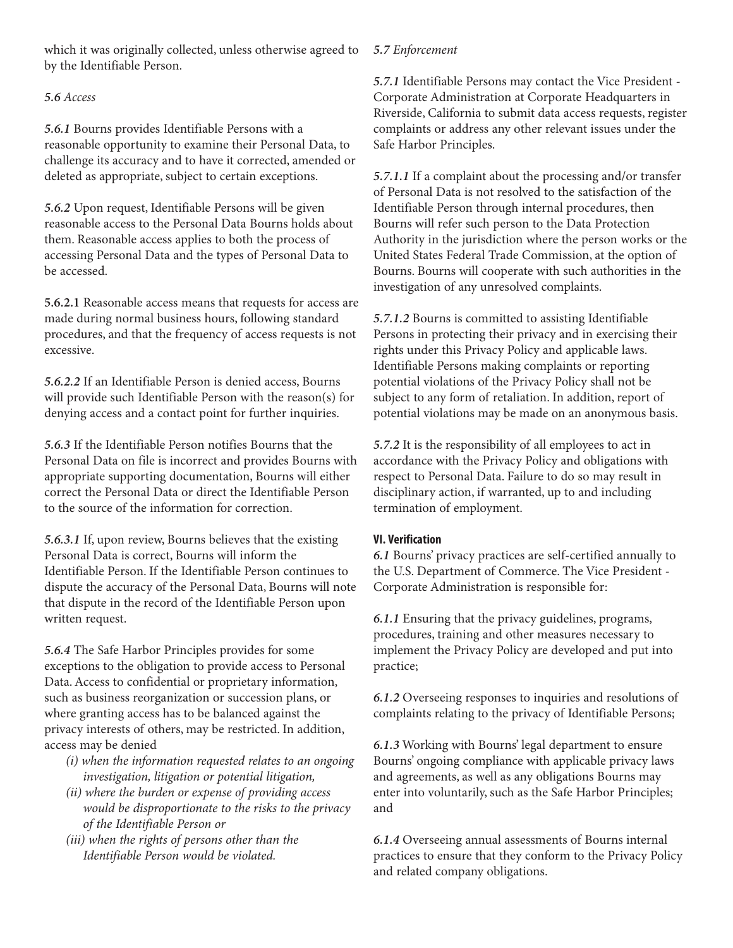which it was originally collected, unless otherwise agreed to by the Identifiable Person.

# **5.6** Access

**5.6.1** Bourns provides Identifiable Persons with a reasonable opportunity to examine their Personal Data, to challenge its accuracy and to have it corrected, amended or deleted as appropriate, subject to certain exceptions.

**5.6.2** Upon request, Identifiable Persons will be given reasonable access to the Personal Data Bourns holds about them. Reasonable access applies to both the process of accessing Personal Data and the types of Personal Data to be accessed.

**5.6.2.1** Reasonable access means that requests for access are made during normal business hours, following standard procedures, and that the frequency of access requests is not excessive.

**5.6.2.2** If an Identifiable Person is denied access, Bourns will provide such Identifiable Person with the reason(s) for denying access and a contact point for further inquiries.

**5.6.3** If the Identifiable Person notifies Bourns that the Personal Data on file is incorrect and provides Bourns with appropriate supporting documentation, Bourns will either correct the Personal Data or direct the Identifiable Person to the source of the information for correction.

**5.6.3.1** If, upon review, Bourns believes that the existing Personal Data is correct, Bourns will inform the Identifiable Person. If the Identifiable Person continues to dispute the accuracy of the Personal Data, Bourns will note that dispute in the record of the Identifiable Person upon written request.

**5.6.4** The Safe Harbor Principles provides for some exceptions to the obligation to provide access to Personal Data. Access to confidential or proprietary information, such as business reorganization or succession plans, or where granting access has to be balanced against the privacy interests of others, may be restricted. In addition, access may be denied

- (i) when the information requested relates to an ongoing investigation, litigation or potential litigation,
- (ii) where the burden or expense of providing access would be disproportionate to the risks to the privacy of the Identifiable Person or
- (iii) when the rights of persons other than the Identifiable Person would be violated.

# **5.7** Enforcement

**5.7.1** Identifiable Persons may contact the Vice President - Corporate Administration at Corporate Headquarters in Riverside, California to submit data access requests, register complaints or address any other relevant issues under the Safe Harbor Principles.

**5.7.1.1** If a complaint about the processing and/or transfer of Personal Data is not resolved to the satisfaction of the Identifiable Person through internal procedures, then Bourns will refer such person to the Data Protection Authority in the jurisdiction where the person works or the United States Federal Trade Commission, at the option of Bourns. Bourns will cooperate with such authorities in the investigation of any unresolved complaints.

**5.7.1.2** Bourns is committed to assisting Identifiable Persons in protecting their privacy and in exercising their rights under this Privacy Policy and applicable laws. Identifiable Persons making complaints or reporting potential violations of the Privacy Policy shall not be subject to any form of retaliation. In addition, report of potential violations may be made on an anonymous basis.

**5.7.2** It is the responsibility of all employees to act in accordance with the Privacy Policy and obligations with respect to Personal Data. Failure to do so may result in disciplinary action, if warranted, up to and including termination of employment.

# **VI. Verification**

**6.1** Bourns' privacy practices are self-certified annually to the U.S. Department of Commerce. The Vice President - Corporate Administration is responsible for:

**6.1.1** Ensuring that the privacy guidelines, programs, procedures, training and other measures necessary to implement the Privacy Policy are developed and put into practice;

**6.1.2** Overseeing responses to inquiries and resolutions of complaints relating to the privacy of Identifiable Persons;

**6.1.3** Working with Bourns' legal department to ensure Bourns' ongoing compliance with applicable privacy laws and agreements, as well as any obligations Bourns may enter into voluntarily, such as the Safe Harbor Principles; and

**6.1.4** Overseeing annual assessments of Bourns internal practices to ensure that they conform to the Privacy Policy and related company obligations.